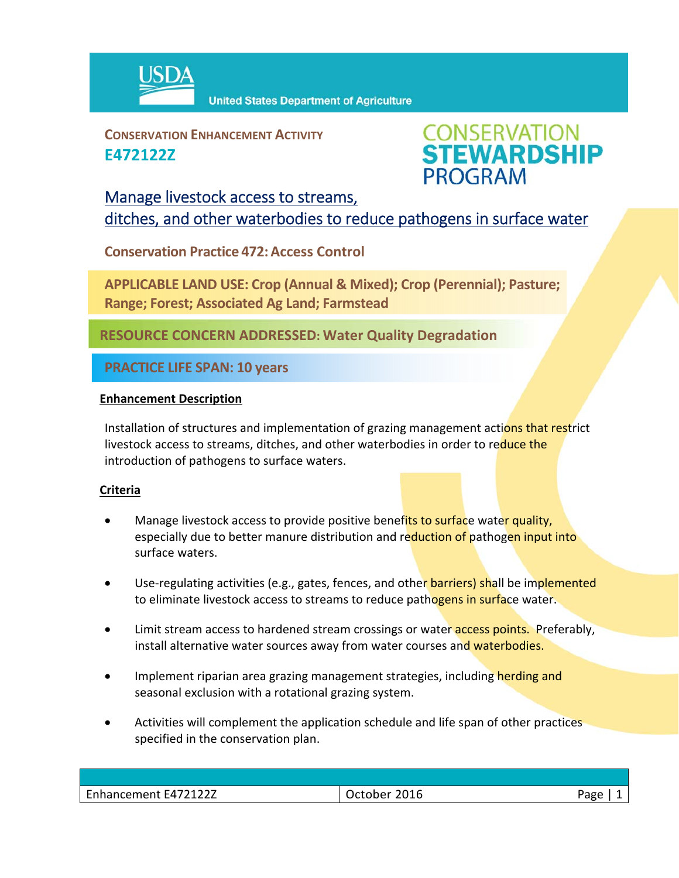

**CONSERVATION ENHANCEMENT ACTIVITY E472122Z**



## Manage livestock access to streams, ditches, and other waterbodies to reduce pathogens in surface water

**Conservation Practice 472:Access Control**

**APPLICABLE LAND USE: Crop (Annual & Mixed); Crop (Perennial); Pasture; Range; Forest; Associated Ag Land; Farmstead**

**RESOURCE CONCERN ADDRESSED: Water Quality Degradation** 

**PRACTICE LIFE SPAN: 10 years**

## **Enhancement Description**

Installation of structures and implementation of grazing management actions that restrict livestock access to streams, ditches, and other waterbodies in order to reduce the introduction of pathogens to surface waters.

## **Criteria**

- Manage livestock access to provide positive benefits to surface water quality, especially due to better manure distribution and reduction of pathogen input into surface waters.
- Use-regulating activities (e.g., gates, fences, and other barriers) shall be implemented to eliminate livestock access to streams to reduce pathogens in surface water.
- Limit stream access to hardened stream crossings or water access points. Preferably, install alternative water sources away from water courses and waterbodies.
- Implement riparian area grazing management strategies, including herding and seasonal exclusion with a rotational grazing system.
- Activities will complement the application schedule and life span of other practices specified in the conservation plan.

| Enhancement E472122Z | 2016<br>October | oape |
|----------------------|-----------------|------|